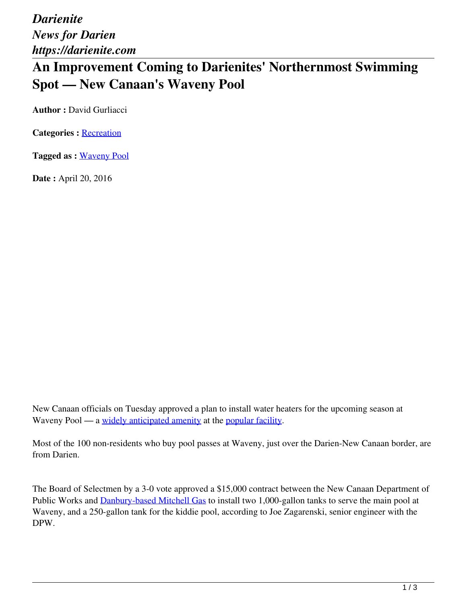*Darienite News for Darien https://darienite.com*

## **An Improvement Coming to Darienites' Northernmost Swimming Spot — New Canaan's Waveny Pool**

**Author :** David Gurliacci

**Categories :** [Recreation](https://darienite.com/category/living/recreation)

**Tagged as :** Waveny Pool

**Date :** April 20, 2016

New Canaan officials on Tuesday approved a plan to install water heaters for the upcoming season at Waveny Pool — a widely anticipated amenity at the popular facility.

Most of the 100 non-residents who buy pool passes at Waveny, just over the Darien-New Canaan border, are from Darien.

The Board of Selectmen by a 3-0 vote approved a \$15,000 contract between the New Canaan Department of Public Works and Danbury-based Mitchell Gas to install two 1,000-gallon tanks to serve the main pool at Waveny, and a 250-gallon tank for the kiddie pool, according to Joe Zagarenski, senior engineer with the DPW.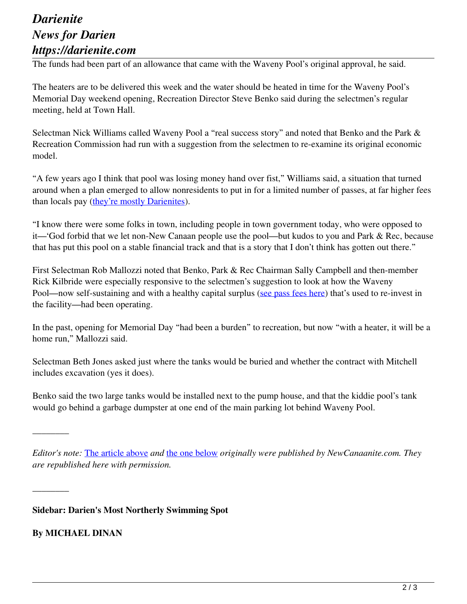## *Darienite News for Darien https://darienite.com*

The funds had been part of an allowance that came with the Waveny Pool's original approval, he said.

The heaters are to be delivered this week and the water should be heated in time for the Waveny Pool's Memorial Day weekend opening, Recreation Director Steve Benko said during the selectmen's regular meeting, held at Town Hall.

Selectman Nick Williams called Waveny Pool a "real success story" and noted that Benko and the Park & Recreation Commission had run with a suggestion from the selectmen to re-examine its original economic model.

"A few years ago I think that pool was losing money hand over fist," Williams said, a situation that turned around when a plan emerged to allow nonresidents to put in for a limited number of passes, at far higher fees than locals pay (they're mostly Darienites).

"I know there were some folks in town, including people in town government today, who were opposed to it—'God forbid that we let non-New Canaan people use the pool—but kudos to you and Park & Rec, because that has put this pool on a stable financial track and that is a story that I don't think has gotten out there."

First Selectman Rob Mallozzi noted that Benko, Park & Rec Chairman Sally Campbell and then-member Rick Kilbride were especially responsive to the selectmen's suggestion to look at how the Waveny Pool—now self-sustaining and with a healthy capital surplus (see pass fees here) that's used to re-invest in the facility—had been operating.

In the past, opening for Memorial Day "had been a burden" to recreation, but now "with a heater, it will be a home run," Mallozzi said.

Selectman Beth Jones asked just where the tanks would be buried and whether the contract with Mitchell includes excavation (yes it does).

Benko said the two large tanks would be installed next to the pump house, and that the kiddie pool's tank would go behind a garbage dumpster at one end of the main parking lot behind Waveny Pool.

*Editor's note:* The article above *and* the one below *originally were published by NewCanaanite.com. They are republished here with permission.*

**Sidebar: Darien's Most Northerly Swimming Spot**

**By MICHAEL DINAN**

\_\_\_\_\_\_\_\_

*\_\_\_\_\_\_\_\_*